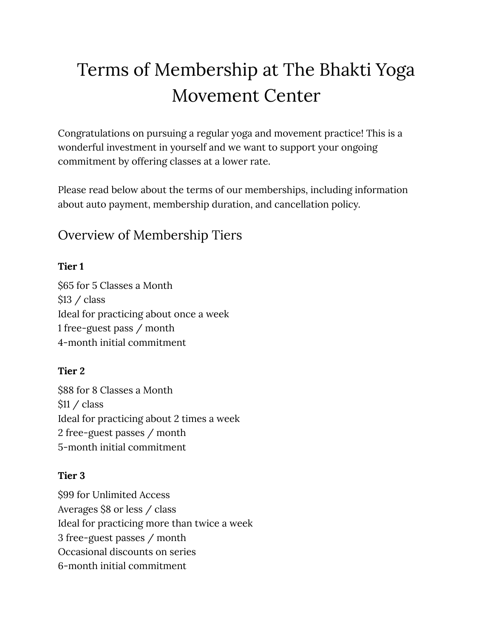# Terms of Membership at The Bhakti Yoga Movement Center

Congratulations on pursuing a regular yoga and movement practice! This is a wonderful investment in yourself and we want to support your ongoing commitment by offering classes at a lower rate.

Please read below about the terms of our memberships, including information about auto payment, membership duration, and cancellation policy.

#### Overview of Membership Tiers

#### **Tier 1**

\$65 for 5 Classes a Month \$13 / class Ideal for practicing about once a week 1 free-guest pass / month 4-month initial commitment

#### **Tier 2**

\$88 for 8 Classes a Month \$11 / class Ideal for practicing about 2 times a week 2 free-guest passes / month 5-month initial commitment

#### **Tier 3**

\$99 for Unlimited Access Averages \$8 or less / class Ideal for practicing more than twice a week 3 free-guest passes / month Occasional discounts on series 6-month initial commitment